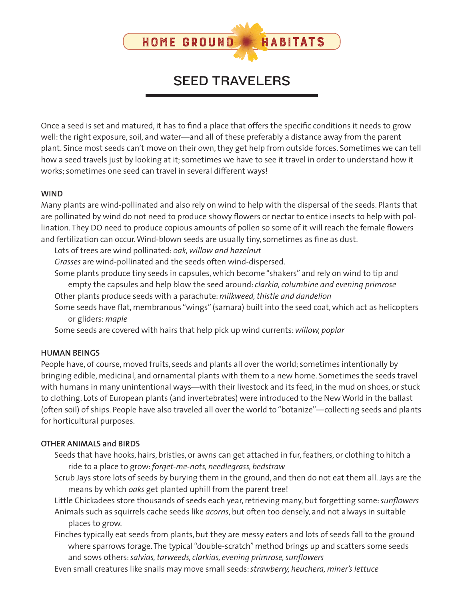

# SEED TRAVELERS

Once a seed is set and matured, it has to find a place that offers the specific conditions it needs to grow well: the right exposure, soil, and water—and all of these preferably a distance away from the parent plant. Since most seeds can't move on their own, they get help from outside forces. Sometimes we can tell how a seed travels just by looking at it; sometimes we have to see it travel in order to understand how it works; sometimes one seed can travel in several different ways!

## **WIND**

Many plants are wind-pollinated and also rely on wind to help with the dispersal of the seeds. Plants that are pollinated by wind do not need to produce showy flowers or nectar to entice insects to help with pollination. They DO need to produce copious amounts of pollen so some of it will reach the female flowers and fertilization can occur. Wind-blown seeds are usually tiny, sometimes as fine as dust.

Lots of trees are wind pollinated: *oak, willow and hazelnut* 

*Grasses* are wind-pollinated and the seeds often wind-dispersed.

Some plants produce tiny seeds in capsules, which become "shakers" and rely on wind to tip and empty the capsules and help blow the seed around: *clarkia, columbine and evening primrose*

Other plants produce seeds with a parachute: *milkweed, thistle and dandelion*

Some seeds have flat, membranous "wings" (samara) built into the seed coat, which act as helicopters or gliders: *maple*

Some seeds are covered with hairs that help pick up wind currents: *willow, poplar* 

#### **HUMAN BEINGS**

People have, of course, moved fruits, seeds and plants all over the world; sometimes intentionally by bringing edible, medicinal, and ornamental plants with them to a new home. Sometimes the seeds travel with humans in many unintentional ways—with their livestock and its feed, in the mud on shoes, or stuck to clothing. Lots of European plants (and invertebrates) were introduced to the New World in the ballast (often soil) of ships. People have also traveled all over the world to "botanize"—collecting seeds and plants for horticultural purposes.

#### **OTHER ANIMALS and BIRDS**

- Seeds that have hooks, hairs, bristles, or awns can get attached in fur, feathers, or clothing to hitch a ride to a place to grow: *forget-me-nots, needlegrass, bedstraw*
- Scrub Jays store lots of seeds by burying them in the ground, and then do not eat them all. Jays are the means by which *oaks* get planted uphill from the parent tree!
- Little Chickadees store thousands of seeds each year, retrieving many, but forgetting some: *sunflowers* Animals such as squirrels cache seeds like *acorns*, but often too densely, and not always in suitable places to grow.

Finches typically eat seeds from plants, but they are messy eaters and lots of seeds fall to the ground where sparrows forage. The typical "double-scratch" method brings up and scatters some seeds and sows others: *salvias, tarweeds, clarkias, evening primrose, sunflowers*

Even small creatures like snails may move small seeds: *strawberry, heuchera, miner's lettuce*